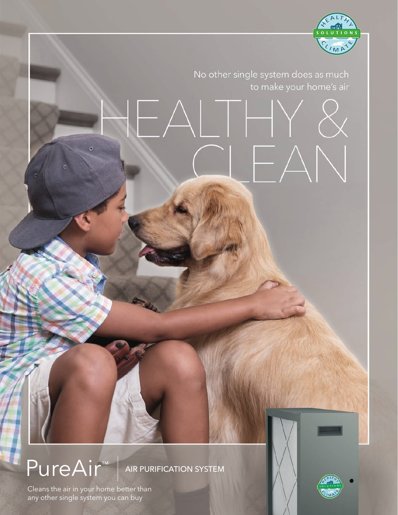

AIR PURIFICATION SYSTEM

any other single system you can buy Cleans the air in your home better than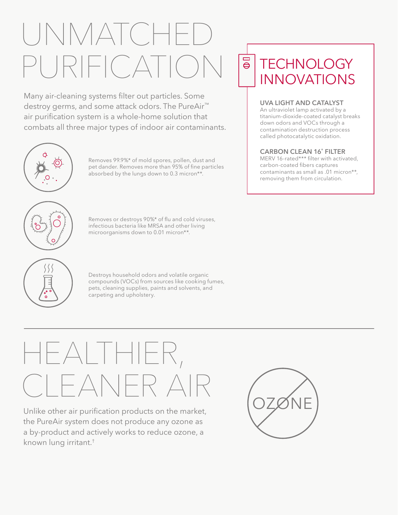# UNMATCHED PURIFICATIO

Many air-cleaning systems filter out particles. Some destroy germs, and some attack odors. The PureAir™ air purification system is a whole-home solution that combats all three major types of indoor air contaminants.







Removes or destroys 90%\* of flu and cold viruses, infectious bacteria like MRSA and other living microorganisms down to 0.01 micron\*\*.



Destroys household odors and volatile organic compounds (VOCs) from sources like cooking fumes, pets, cleaning supplies, paints and solvents, and carpeting and upholstery.

# HEALTHIER, **TIFANER A**

Unlike other air purification products on the market, the PureAir system does not produce any ozone as a by-product and actively works to reduce ozone, a known lung irritant.†

## $\overline{\Theta}$ **TECHNOLOGY** INNOVATIONS

### **UVA LIGHT AND CATALYST**

An ultraviolet lamp activated by a titanium-dioxide-coated catalyst breaks down odors and VOCs through a contamination destruction process called photocatalytic oxidation.

#### **CARBON CLEAN 16® FILTER**

MERV 16-rated\*\*\* filter with activated, carbon-coated fibers captures contaminants as small as .01 micron\*\*, removing them from circulation.

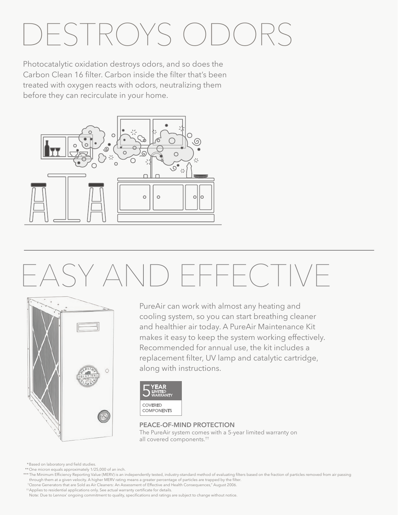# DESTROYS ODOF

Photocatalytic oxidation destroys odors, and so does the Carbon Clean 16 filter. Carbon inside the filter that's been treated with oxygen reacts with odors, neutralizing them before they can recirculate in your home.



# EASY AND EFFECTIVE



PureAir can work with almost any heating and cooling system, so you can start breathing cleaner and healthier air today. A PureAir Maintenance Kit makes it easy to keep the system working effectively. Recommended for annual use, the kit includes a replacement filter, UV lamp and catalytic cartridge, along with instructions.

| MEAR:<br>LIMITED<br>WARRANTY        |  |
|-------------------------------------|--|
| <b>COVERED</b><br><b>COMPONENTS</b> |  |

### **PEACE-OF-MIND PROTECTION**

The PureAir system comes with a 5-year limited warranty on all covered components.††

\*Based on laboratory and field studies.

\*\*One micron equals approximately 1/25,000 of an inch.

\*\*\* The Minimum Efficiency Reporting Value (MERV) is an independently tested, industry-standard method of evaluating filters based on the fraction of particles removed from air passing through them at a given velocity. A higher MERV rating means a greater percentage of particles are trapped by the filter.

†Ozone Generators that are Sold as Air Cleaners: An Assessment of Effective and Health Consequences," August 2006.

††Applies to residential applications only. See actual warranty certificate for details.

Note: Due to Lennox' ongoing commitment to quality, specifications and ratings are subject to change without notice.